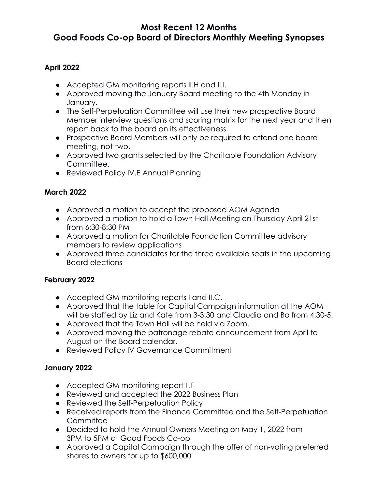## **Most Recent 12 Months Good Foods Co-op Board of Directors Monthly Meeting Synopses**

### **April 2022**

- Accepted GM monitoring reports II.H and II.I.
- Approved moving the January Board meeting to the 4th Monday in January.
- The Self-Perpetuation Committee will use their new prospective Board Member interview questions and scoring matrix for the next year and then report back to the board on its effectiveness.
- Prospective Board Members will only be required to attend one board meeting, not two.
- Approved two grants selected by the Charitable Foundation Advisory Committee.
- Reviewed Policy IV.E Annual Planning

### **March 2022**

- Approved a motion to accept the proposed AOM Agenda
- Approved a motion to hold a Town Hall Meeting on Thursday April 21st from 6:30-8:30 PM
- Approved a motion for Charitable Foundation Committee advisory members to review applications
- Approved three candidates for the three available seats in the upcoming Board elections

### **February 2022**

- Accepted GM monitoring reports I and II.C.
- Approved that the table for Capital Campaign information at the AOM will be staffed by Liz and Kate from 3-3:30 and Claudia and Bo from 4:30-5.
- Approved that the Town Hall will be held via Zoom.
- Approved moving the patronage rebate announcement from April to August on the Board calendar.
- Reviewed Policy IV Governance Commitment

### **January 2022**

- Accepted GM monitoring report II.F
- Reviewed and accepted the 2022 Business Plan
- Reviewed the Self-Perpetuation Policy
- Received reports from the Finance Committee and the Self-Perpetuation **Committee**
- Decided to hold the Annual Owners Meeting on May 1, 2022 from 3PM to 5PM at Good Foods Co-op
- Approved a Capital Campaign through the offer of non-voting preferred shares to owners for up to \$600,000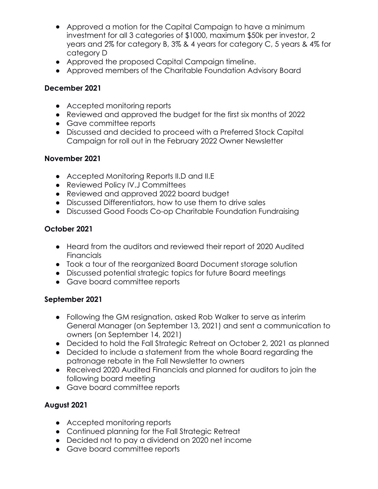- Approved a motion for the Capital Campaign to have a minimum investment for all 3 categories of \$1000, maximum \$50k per investor, 2 years and 2% for category B, 3% & 4 years for category C, 5 years & 4% for category D
- Approved the proposed Capital Campaign timeline.
- Approved members of the Charitable Foundation Advisory Board

### **December 2021**

- Accepted monitoring reports
- Reviewed and approved the budget for the first six months of 2022
- Gave committee reports
- Discussed and decided to proceed with a Preferred Stock Capital Campaign for roll out in the February 2022 Owner Newsletter

### **November 2021**

- Accepted Monitoring Reports II.D and II.E
- Reviewed Policy IV.J Committees
- Reviewed and approved 2022 board budget
- Discussed Differentiators, how to use them to drive sales
- Discussed Good Foods Co-op Charitable Foundation Fundraising

## **October 2021**

- Heard from the auditors and reviewed their report of 2020 Audited **Financials**
- Took a tour of the reorganized Board Document storage solution
- Discussed potential strategic topics for future Board meetings
- Gave board committee reports

## **September 2021**

- Following the GM resignation, asked Rob Walker to serve as interim General Manager (on September 13, 2021) and sent a communication to owners (on September 14, 2021)
- Decided to hold the Fall Strategic Retreat on October 2, 2021 as planned
- Decided to include a statement from the whole Board regarding the patronage rebate in the Fall Newsletter to owners
- Received 2020 Audited Financials and planned for auditors to join the following board meeting
- Gave board committee reports

# **August 2021**

- Accepted monitoring reports
- Continued planning for the Fall Strategic Retreat
- Decided not to pay a dividend on 2020 net income
- Gave board committee reports